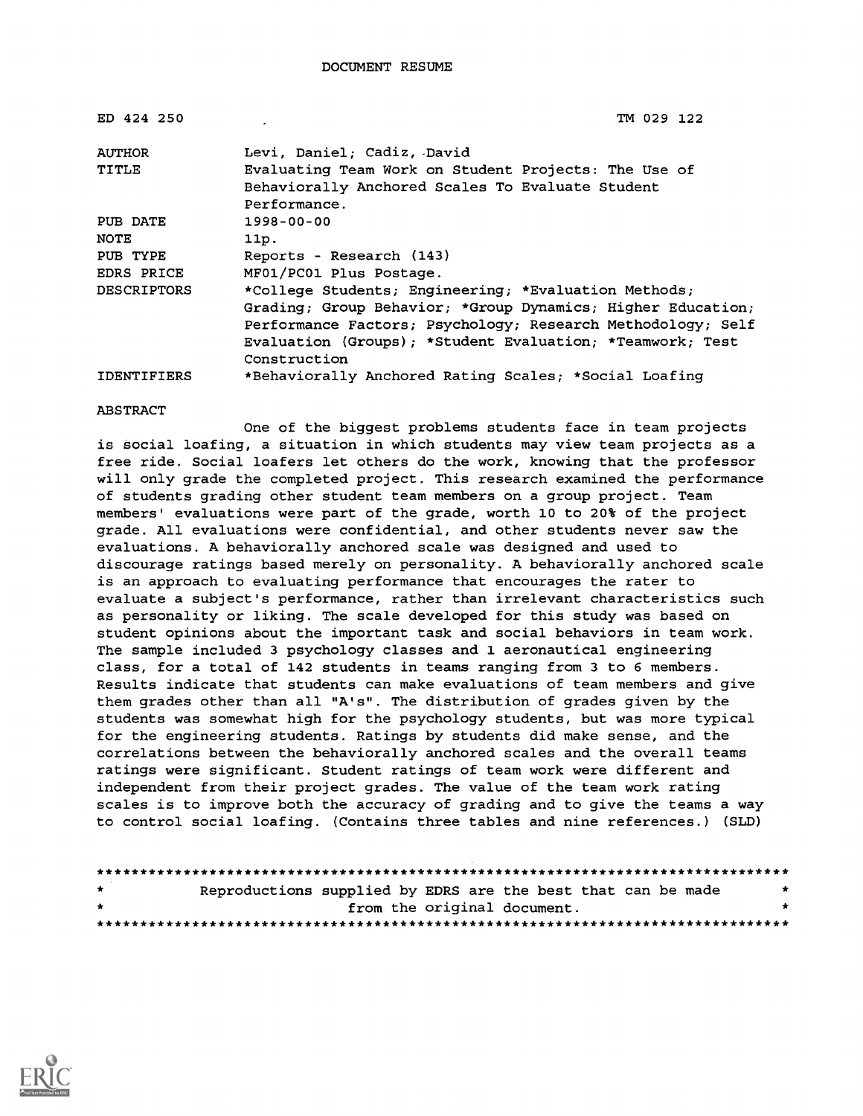| ED 424 250         | TM 029 122                                                  |
|--------------------|-------------------------------------------------------------|
| <b>AUTHOR</b>      | Levi, Daniel; Cadiz, David                                  |
| <b>TITLE</b>       | Evaluating Team Work on Student Projects: The Use of        |
|                    | Behaviorally Anchored Scales To Evaluate Student            |
|                    | Performance.                                                |
| PUB DATE           | $1998 - 00 - 00$                                            |
| <b>NOTE</b>        | 11p.                                                        |
| PUB TYPE           | Reports - Research (143)                                    |
| EDRS PRICE         | MF01/PC01 Plus Postage.                                     |
| <b>DESCRIPTORS</b> | *College Students; Engineering; *Evaluation Methods;        |
|                    | Grading; Group Behavior; *Group Dynamics; Higher Education; |
|                    | Performance Factors; Psychology; Research Methodology; Self |
|                    | Evaluation (Groups); *Student Evaluation; *Teamwork; Test   |
|                    | Construction                                                |
| <b>IDENTIFIERS</b> | *Behaviorally Anchored Rating Scales; *Social Loafing       |

#### ABSTRACT

One of the biggest problems students face in team projects is social loafing, a situation in which students may view team projects as a free ride. Social loafers let others do the work, knowing that the professor will only grade the completed project. This research examined the performance of students grading other student team members on a group project. Team members' evaluations were part of the grade, worth 10 to 20% of the project grade. All evaluations were confidential, and other students never saw the evaluations. A behaviorally anchored scale was designed and used to discourage ratings based merely on personality. A behaviorally anchored scale is an approach to evaluating performance that encourages the rater to evaluate a subject's performance, rather than irrelevant characteristics such as personality or liking. The scale developed for this study was based on student opinions about the important task and social behaviors in team work. The sample included 3 psychology classes and 1 aeronautical engineering class, for a total of 142 students in teams ranging from 3 to 6 members. Results indicate that students can make evaluations of team members and give them grades other than all "A's". The distribution of grades given by the students was somewhat high for the psychology students, but was more typical for the engineering students. Ratings by students did make sense, and the correlations between the behaviorally anchored scales and the overall teams ratings were significant. Student ratings of team work were different and independent from their project grades. The value of the team work rating scales is to improve both the accuracy of grading and to give the teams a way to control social loafing. (Contains three tables and nine references.) (SLD)

| $\star$ | Reproductions supplied by EDRS are the best that can be made |                             |  |  | * |
|---------|--------------------------------------------------------------|-----------------------------|--|--|---|
| $\star$ |                                                              | from the original document. |  |  |   |
|         |                                                              |                             |  |  |   |

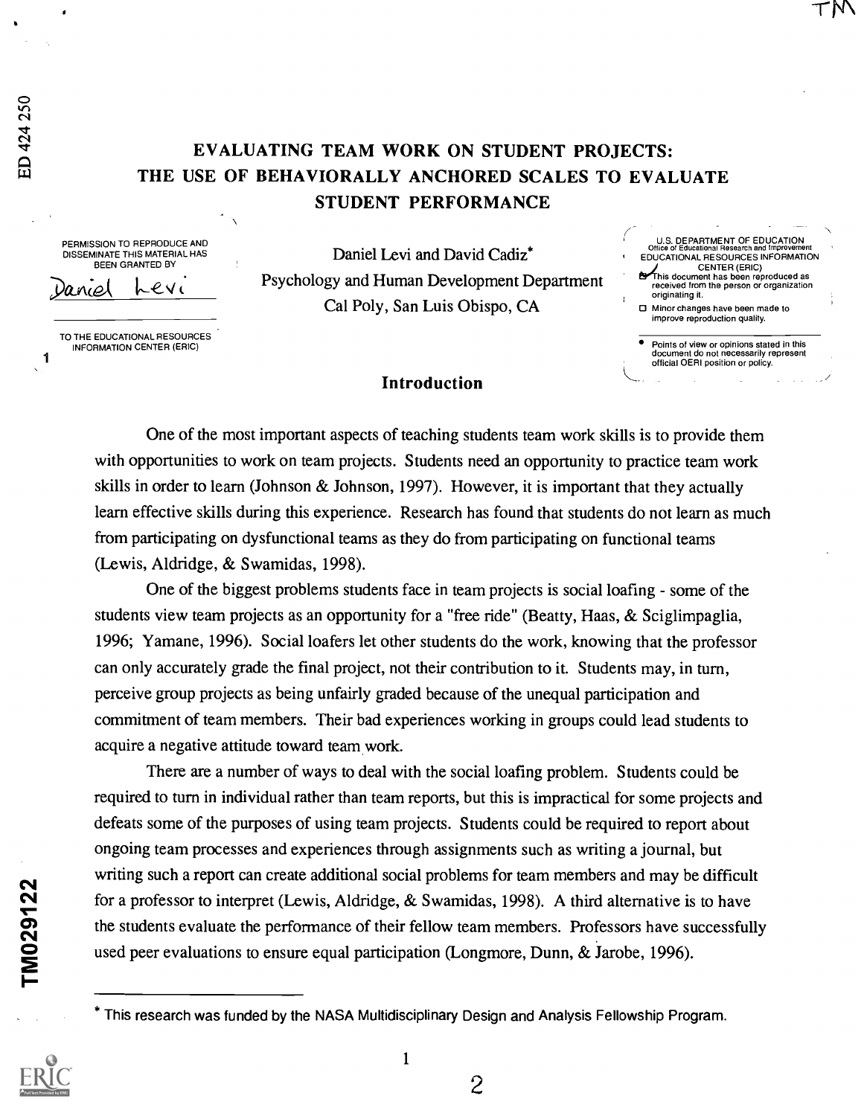1

PERMISSION TO REPRODUCE AND DISSEMINATE THIS MATERIAL HAS BEEN GRANTED BY

aniel Levi

TO THE EDUCATIONAL RESOURCES INFORMATION CENTER (ERIC)

Daniel Levi and David Cadiz\* Psychology and Human Development Department Cal Poly, San Luis Obispo, CA

U.S. DEPARTMENT OF EDUCATION Office of Educational Research and Improvement EDUCATIONAL RESOURCES INFORMATION CENTER (ERIC) This document has been reproduced as

- received from the person or organization originating it.
- O Minor changes have been made to improve reproduction quality.

### Introduction

One of the most important aspects of teaching students team work skills is to provide them with opportunities to work on team projects. Students need an opportunity to practice team work skills in order to learn (Johnson & Johnson, 1997). However, it is important that they actually learn effective skills during this experience. Research has found that students do not learn as much from participating on dysfunctional teams as they do from participating on functional teams (Lewis, Aldridge, & Swamidas, 1998).

One of the biggest problems students face in team projects is social loafing - some of the students view team projects as an opportunity for a "free ride" (Beatty, Haas, & Sciglimpaglia, 1996; Yamane, 1996). Social loafers let other students do the work, knowing that the professor can only accurately grade the final project, not their contribution to it. Students may, in turn, perceive group projects as being unfairly graded because of the unequal participation and commitment of team members. Their bad experiences working in groups could lead students to acquire a negative attitude toward team work.

There are a number of ways to deal with the social loafing problem. Students could be required to turn in individual rather than team reports, but this is impractical for some projects and defeats some of the purposes of using team projects. Students could be required to report about ongoing team processes and experiences through assignments such as writing a journal, but writing such a report can create additional social problems for team members and may be difficult for a professor to interpret (Lewis, Aldridge, & Swamidas, 1998). A third alternative is to have the students evaluate the performance of their fellow team members. Professors have successfully For a professor to interpret (Lewis, Aldridge, & Swamidas, 1998). A third alternative is<br>the students evaluate the performance of their fellow team members. Professors have su<br>used peer evaluations to ensure equal particip

Points of view or opinions stated in this document do not necessarily represent official OERI position or policy.

This research was funded by the NASA Multidisciplinary Design and Analysis Fellowship Program.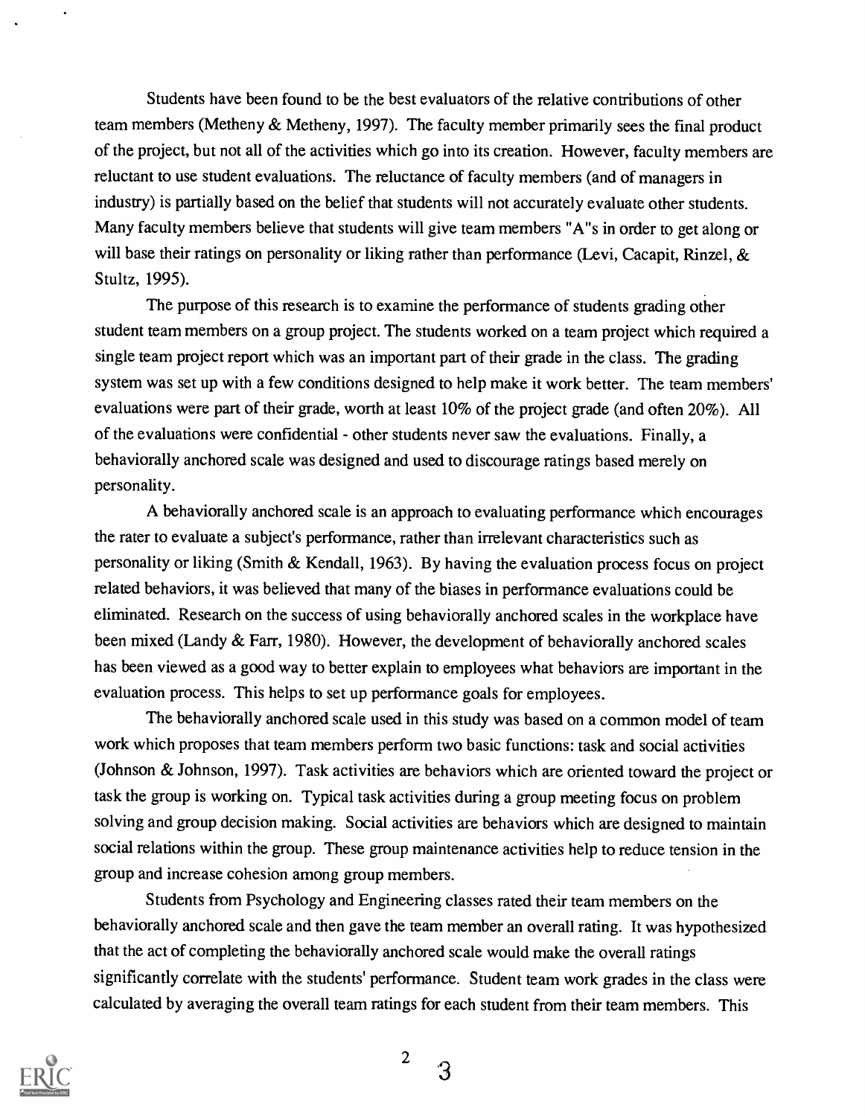Students have been found to be the best evaluators of the relative contributions of other team members (Metheny & Metheny, 1997). The faculty member primarily sees the final product of the project, but not all of the activities which go into its creation. However, faculty members are reluctant to use student evaluations. The reluctance of faculty members (and of managers in industry) is partially based on the belief that students will not accurately evaluate other students. Many faculty members believe that students will give team members "A"s in order to get along or will base their ratings on personality or liking rather than performance (Levi, Cacapit, Rinzel, & Stultz, 1995).

The purpose of this research is to examine the performance of students grading other student team members on a group project. The students worked on a team project which required a single team project report which was an important part of their grade in the class. The grading system was set up with a few conditions designed to help make it work better. The team members' evaluations were part of their grade, worth at least 10% of the project grade (and often 20%). All of the evaluations were confidential - other students never saw the evaluations. Finally, a behaviorally anchored scale was designed and used to discourage ratings based merely on personality.

A behaviorally anchored scale is an approach to evaluating performance which encourages the rater to evaluate a subject's performance, rather than irrelevant characteristics such as personality or liking (Smith & Kendall, 1963). By having the evaluation process focus on project related behaviors, it was believed that many of the biases in performance evaluations could be eliminated. Research on the success of using behaviorally anchored scales in the workplace have been mixed (Landy & Farr, 1980). However, the development of behaviorally anchored scales has been viewed as a good way to better explain to employees what behaviors are important in the evaluation process. This helps to set up performance goals for employees.

The behaviorally anchored scale used in this study was based on a common model of team work which proposes that team members perform two basic functions: task and social activities (Johnson & Johnson, 1997). Task activities are behaviors which are oriented toward the project or task the group is working on. Typical task activities during a group meeting focus on problem solving and group decision making. Social activities are behaviors which are designed to maintain social relations within the group. These group maintenance activities help to reduce tension in the group and increase cohesion among group members.

Students from Psychology and Engineering classes rated their team members on the behaviorally anchored scale and then gave the team member an overall rating. It was hypothesized that the act of completing the behaviorally anchored scale would make the overall ratings significantly correlate with the students' performance. Student team work grades in the class were calculated by averaging the overall team ratings for each student from their team members. This



2  $\sim$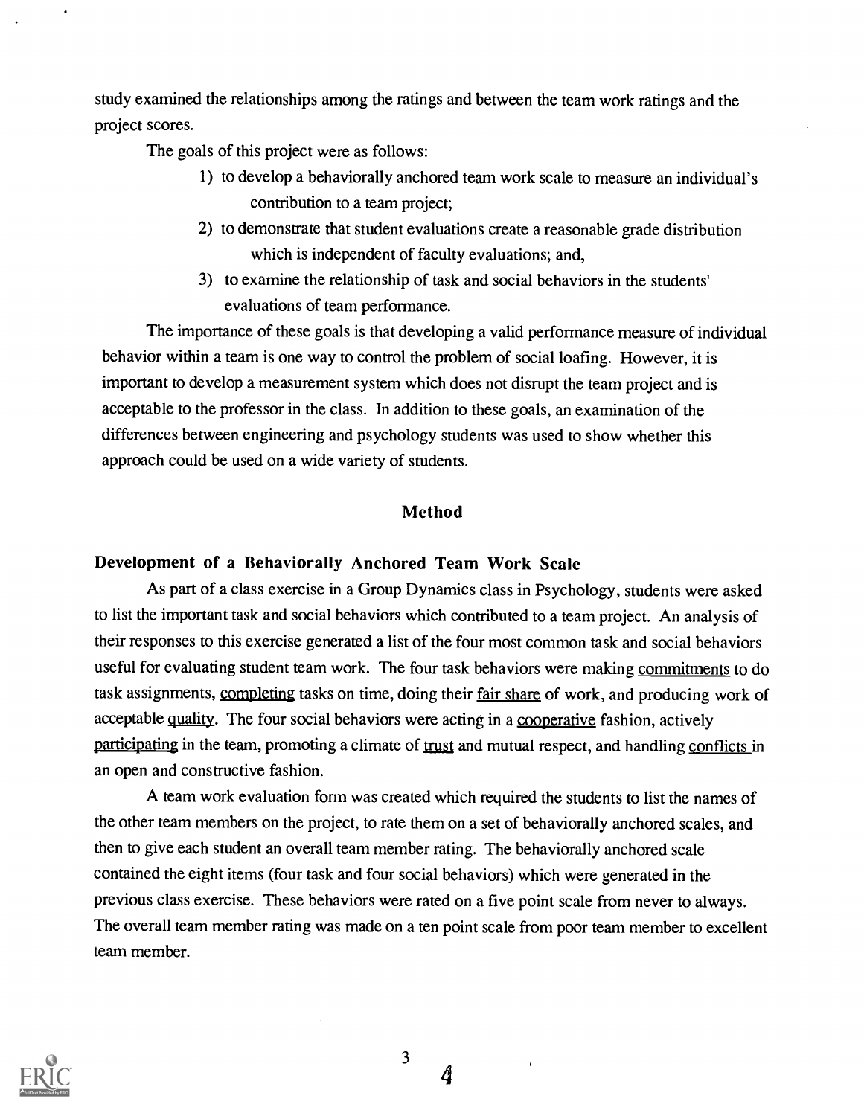study examined the relationships among the ratings and between the team work ratings and the project scores.

The goals of this project were as follows:

- 1) to develop a behaviorally anchored team work scale to measure an individual's contribution to a team project;
- 2) to demonstrate that student evaluations create a reasonable grade distribution which is independent of faculty evaluations; and,
- 3) to examine the relationship of task and social behaviors in the students' evaluations of team performance.

The importance of these goals is that developing a valid performance measure of individual behavior within a team is one way to control the problem of social loafing. However, it is important to develop a measurement system which does not disrupt the team project and is acceptable to the professor in the class. In addition to these goals, an examination of the differences between engineering and psychology students was used to show whether this approach could be used on a wide variety of students.

## Method

### Development of a Behaviorally Anchored Team Work Scale

As part of a class exercise in a Group Dynamics class in Psychology, students were asked to list the important task and social behaviors which contributed to a team project. An analysis of their responses to this exercise generated a list of the four most common task and social behaviors useful for evaluating student team work. The four task behaviors were making commitments to do task assignments, completing tasks on time, doing their fair share of work, and producing work of acceptable quality. The four social behaviors were acting in a cooperative fashion, actively participating in the team, promoting a climate of trust and mutual respect, and handling conflicts in an open and constructive fashion.

A team work evaluation form was created which required the students to list the names of the other team members on the project, to rate them on a set of behaviorally anchored scales, and then to give each student an overall team member rating. The behaviorally anchored scale contained the eight items (four task and four social behaviors) which were generated in the previous class exercise. These behaviors were rated on a five point scale from never to always. The overall team member rating was made on a ten point scale from poor team member to excellent team member.

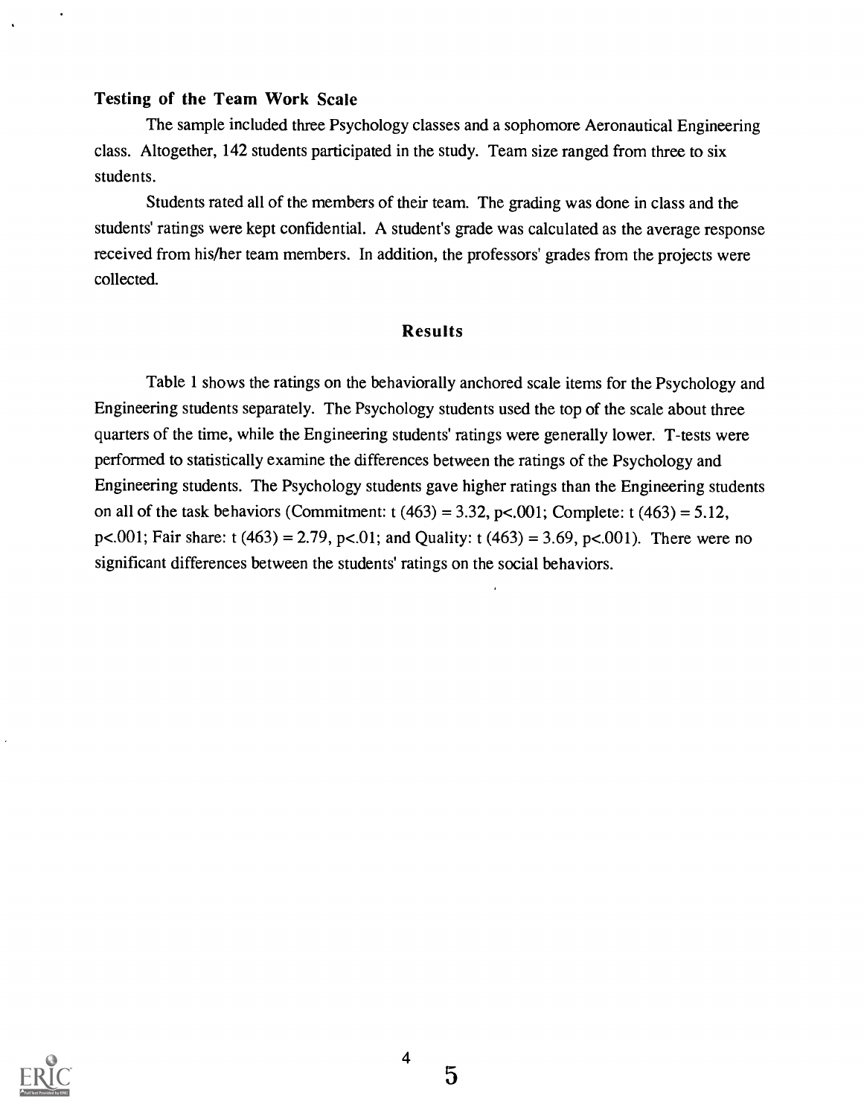## Testing of the Team Work Scale

 $\overline{a}$ 

The sample included three Psychology classes and a sophomore Aeronautical Engineering class. Altogether, 142 students participated in the study. Team size ranged from three to six students.

Students rated all of the members of their team. The grading was done in class and the students' ratings were kept confidential. A student's grade was calculated as the average response received from his/her team members. In addition, the professors' grades from the projects were collected.

## Results

Table 1 shows the ratings on the behaviorally anchored scale items for the Psychology and Engineering students separately. The Psychology students used the top of the scale about three quarters of the time, while the Engineering students' ratings were generally lower. T-tests were performed to statistically examine the differences between the ratings of the Psychology and Engineering students. The Psychology students gave higher ratings than the Engineering students on all of the task behaviors (Commitment:  $t$  (463) = 3.32, p<.001; Complete:  $t$  (463) = 5.12, p<.001; Fair share: t (463) = 2.79, p<.01; and Quality: t (463) = 3.69, p<.001). There were no significant differences between the students' ratings on the social behaviors.

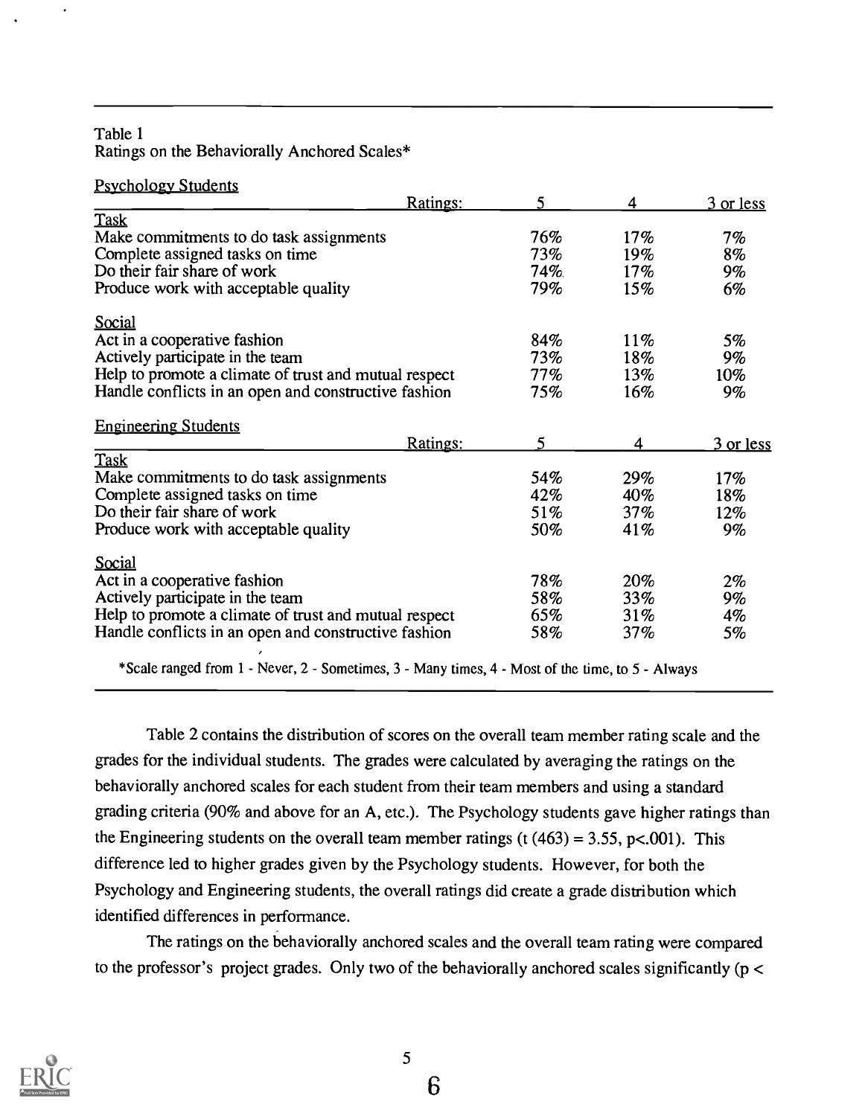## Table 1 Ratings on the Behaviorally Anchored Scales\*

 $\bullet$ 

| <b>Psychology Students</b>                            | Ratings: | 5      | 4      | 3 or less |
|-------------------------------------------------------|----------|--------|--------|-----------|
| Task                                                  |          |        |        |           |
| Make commitments to do task assignments               |          | 76%    | $17\%$ | 7%        |
| Complete assigned tasks on time                       |          | 73%    | $19\%$ | 8%        |
| Do their fair share of work                           |          | 74%    | $17\%$ | $9\%$     |
| Produce work with acceptable quality                  |          | 79%    | 15%    | 6%        |
| <b>Social</b>                                         |          |        |        |           |
| Act in a cooperative fashion                          |          | 84%    | $11\%$ | 5%        |
| Actively participate in the team                      |          | $73\%$ | 18%    | 9%        |
| Help to promote a climate of trust and mutual respect |          | $77\%$ | 13%    | $10\%$    |
| Handle conflicts in an open and constructive fashion  |          | 75%    | 16%    | 9%        |
| <b>Engineering Students</b>                           |          |        |        |           |
|                                                       | Ratings: | 5      | 4      | 3 or less |
| Task                                                  |          |        |        |           |
| Make commitments to do task assignments               |          | 54%    | 29%    | 17%       |
| Complete assigned tasks on time                       |          | 42%    | $40\%$ | 18%       |
| Do their fair share of work                           |          | 51%    | 37%    | 12%       |
| Produce work with acceptable quality                  |          | 50%    | 41%    | 9%        |
| Social                                                |          |        |        |           |
| Act in a cooperative fashion                          |          | 78%    | 20%    | $2\%$     |
| Actively participate in the team                      |          | 58%    | 33%    | $9\%$     |
| Help to promote a climate of trust and mutual respect |          | 65%    | 31%    | 4%        |
| Handle conflicts in an open and constructive fashion  |          | 58%    | 37%    | 5%        |

\*Scale ranged from  $1$  - Never,  $2$  - Sometimes,  $3$  - Many times,  $4$  - Most of the time, to  $5$  - Always

Table 2 contains the distribution of scores on the overall team member rating scale and the grades for the individual students. The grades were calculated by averaging the ratings on the behaviorally anchored scales for each student from their team members and using a standard grading criteria (90% and above for an A, etc.). The Psychology students gave higher ratings than the Engineering students on the overall team member ratings (t  $(463) = 3.55$ , p<.001). This difference led to higher grades given by the Psychology students. However, for both the Psychology and Engineering students, the overall ratings did create a grade distribution which identified differences in performance.

The ratings on the behaviorally anchored scales and the overall team rating were compared to the professor's project grades. Only two of the behaviorally anchored scales significantly ( $p <$ 

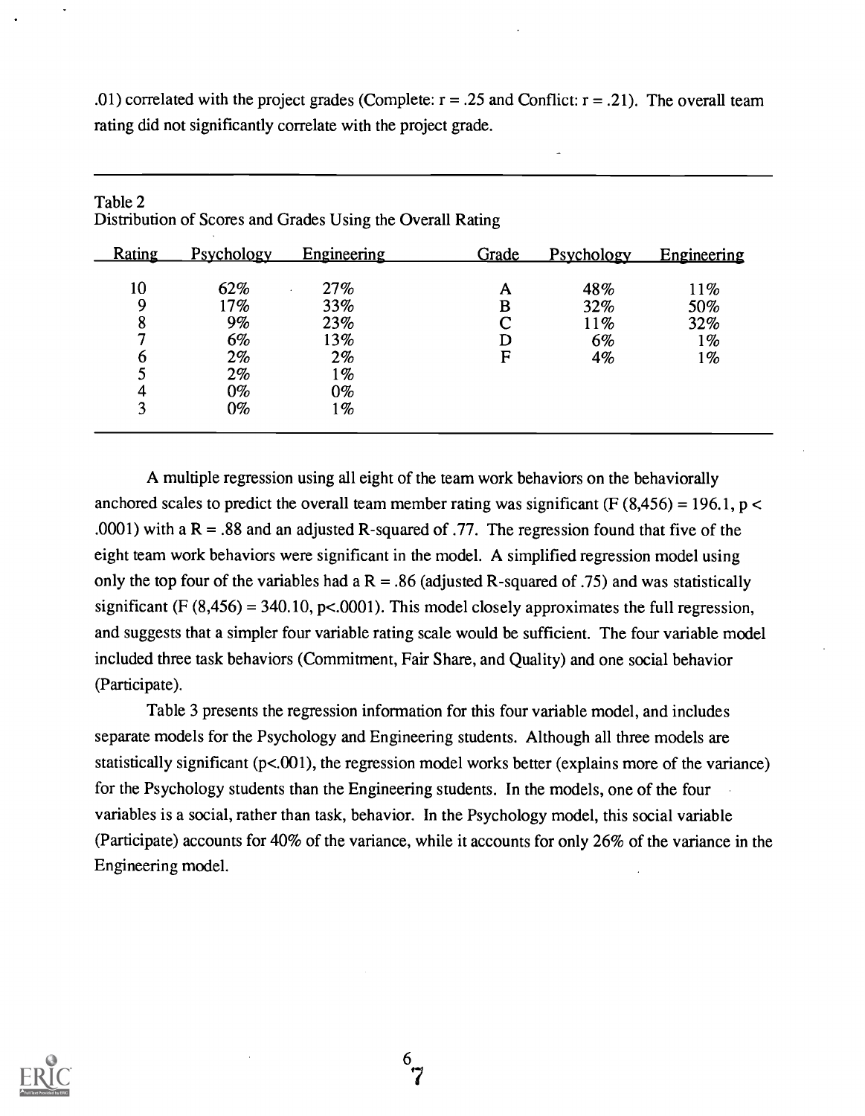.01) correlated with the project grades (Complete:  $r = .25$  and Conflict:  $r = .21$ ). The overall team rating did not significantly correlate with the project grade.

| <b>Rating</b> | Psychology | Engineering | Grade | Psychology | Engineering |
|---------------|------------|-------------|-------|------------|-------------|
| 10            | 62%        | 27%         | A     | 48%        | 11%         |
| 9             | 17%        | 33%         | в     | 32%        | 50%         |
| 8             | 9%         | 23%         | ⌒     | 11%        | 32%         |
| 7             | 6%         | 13%         | D     | 6%         | 1%          |
| b             | 2%         | $2\%$       | F     | 4%         | 1%          |
| J             | 2%         | 1%          |       |            |             |
| 4             | $0\%$      | $0\%$       |       |            |             |
| 3             | $0\%$      | $1\%$       |       |            |             |

| Table 2                                                    |  |
|------------------------------------------------------------|--|
| Distribution of Scores and Grades Using the Overall Rating |  |

A multiple regression using all eight of the team work behaviors on the behaviorally anchored scales to predict the overall team member rating was significant (F  $(8,456) = 196.1$ , p < .0001) with a  $R = .88$  and an adjusted R-squared of .77. The regression found that five of the eight team work behaviors were significant in the model. A simplified regression model using only the top four of the variables had a  $R = 0.86$  (adjusted R-squared of .75) and was statistically significant (F  $(8,456) = 340.10$ , p<.0001). This model closely approximates the full regression, and suggests that a simpler four variable rating scale would be sufficient. The four variable model included three task behaviors (Commitment, Fair Share, and Quality) and one social behavior (Participate).

Table 3 presents the regression information for this four variable model, and includes separate models for the Psychology and Engineering students. Although all three models are statistically significant  $(p<.001)$ , the regression model works better (explains more of the variance) for the Psychology students than the Engineering students. In the models, one of the four variables is a social, rather than task, behavior. In the Psychology model, this social variable (Participate) accounts for 40% of the variance, while it accounts for only 26% of the variance in the Engineering model.

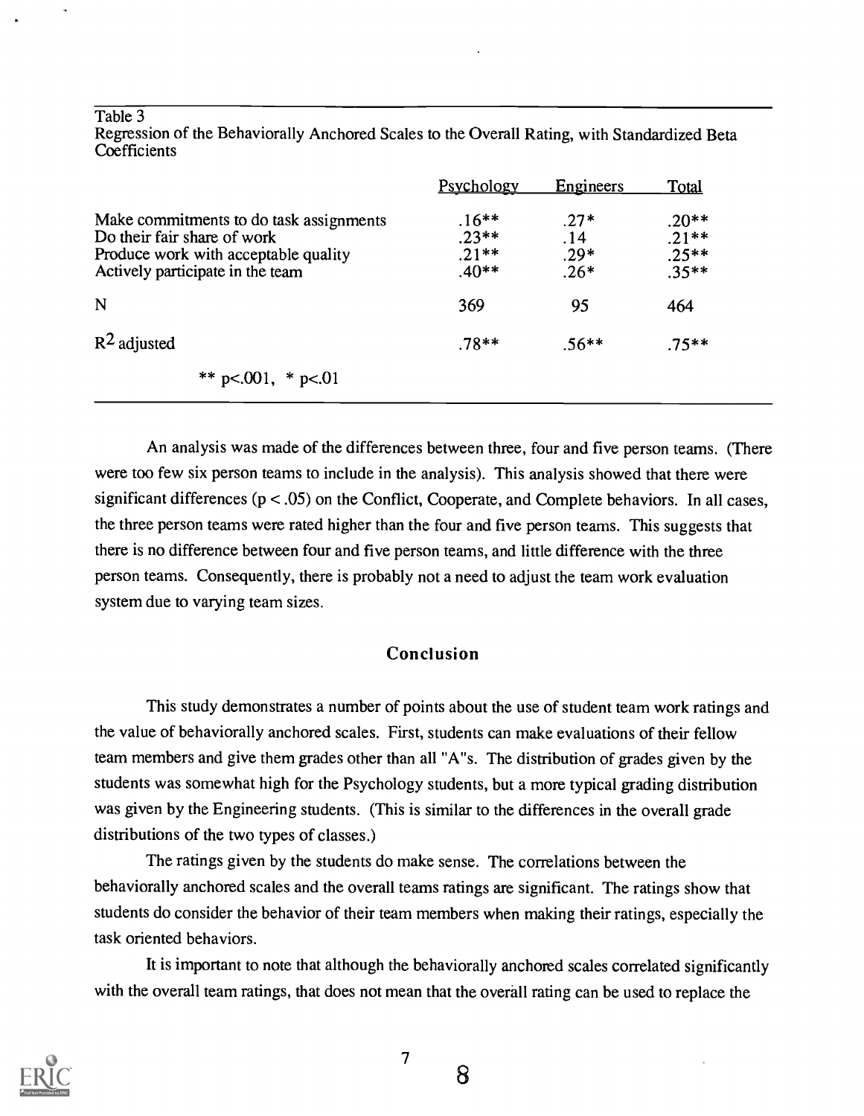#### Table 3

|                                                                                                                                                    | <b>Psychology</b>                        | Engineers                         | <b>Total</b>                             |
|----------------------------------------------------------------------------------------------------------------------------------------------------|------------------------------------------|-----------------------------------|------------------------------------------|
| Make commitments to do task assignments<br>Do their fair share of work<br>Produce work with acceptable quality<br>Actively participate in the team | $.16**$<br>$.23**$<br>$.21**$<br>$.40**$ | $.27*$<br>.14<br>$.29*$<br>$.26*$ | $.20**$<br>$.21**$<br>$.25**$<br>$.35**$ |
| N                                                                                                                                                  | 369                                      | 95                                | 464                                      |
| $R^2$ adjusted                                                                                                                                     | $.78**$                                  | $.56**$                           | $.75**$                                  |
| ** $p<.001$ , * $p<.01$                                                                                                                            |                                          |                                   |                                          |

Regression of the Behaviorally Anchored Scales to the Overall Rating, with Standardized Beta **Coefficients** 

An analysis was made of the differences between three, four and five person teams. (There were too few six person teams to include in the analysis). This analysis showed that there were significant differences  $(p < .05)$  on the Conflict, Cooperate, and Complete behaviors. In all cases, the three person teams were rated higher than the four and five person teams. This suggests that there is no difference between four and five person teams, and little difference with the three person teams. Consequently, there is probably not a need to adjust the team work evaluation system due to varying team sizes.

## Conclusion

This study demonstrates a number of points about the use of student team work ratings and the value of behaviorally anchored scales. First, students can make evaluations of their fellow team members and give them grades other than all "A"s. The distribution of grades given by the students was somewhat high for the Psychology students, but a more typical grading distribution was given by the Engineering students. (This is similar to the differences in the overall grade distributions of the two types of classes.)

The ratings given by the students do make sense. The correlations between the behaviorally anchored scales and the overall teams ratings are significant. The ratings show that students do consider the behavior of their team members when making their ratings, especially the task oriented behaviors.

It is important to note that although the behaviorally anchored scales correlated significantly with the overall team ratings, that does not mean that the overall rating can be used to replace the

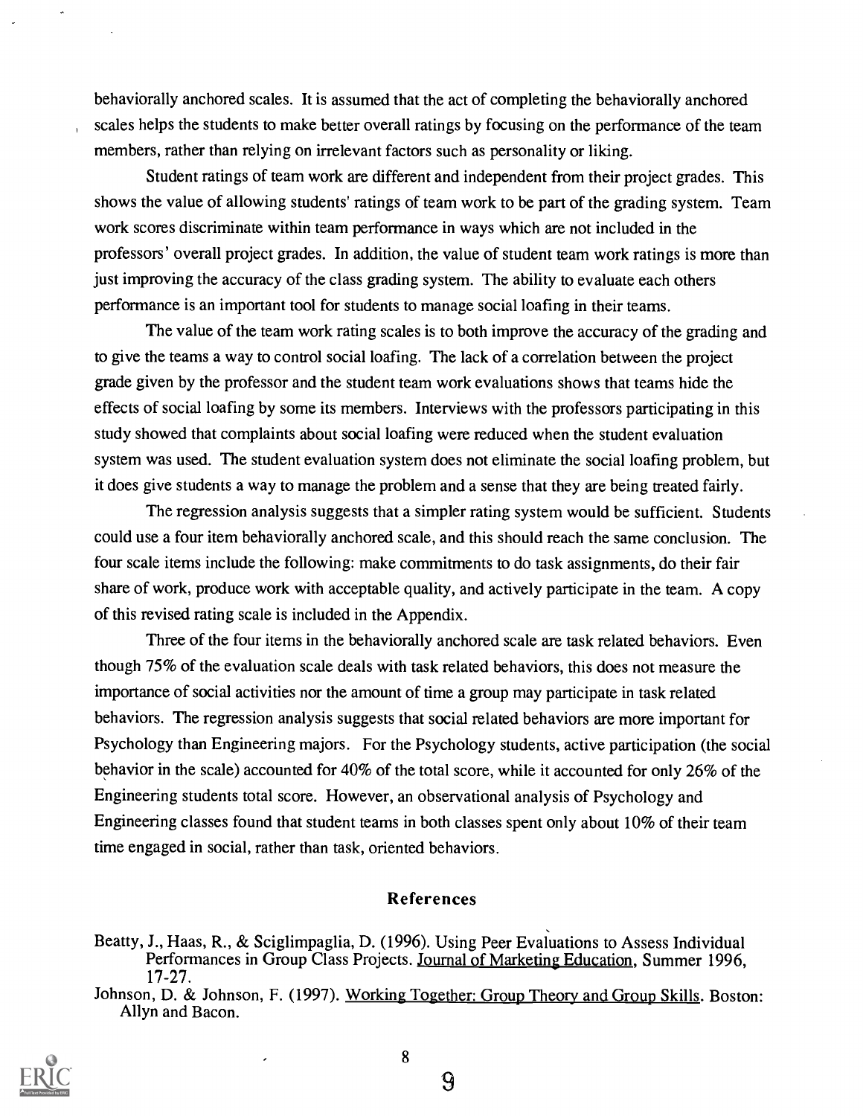behaviorally anchored scales. It is assumed that the act of completing the behaviorally anchored scales helps the students to make better overall ratings by focusing on the performance of the team members, rather than relying on irrelevant factors such as personality or liking.

Student ratings of team work are different and independent from their project grades. This shows the value of allowing students' ratings of team work to be part of the grading system. Team work scores discriminate within team performance in ways which are not included in the professors' overall project grades. In addition, the value of student team work ratings is more than just improving the accuracy of the class grading system. The ability to evaluate each others performance is an important tool for students to manage social loafing in their teams.

The value of the team work rating scales is to both improve the accuracy of the grading and to give the teams a way to control social loafing. The lack of a correlation between the project grade given by the professor and the student team work evaluations shows that teams hide the effects of social loafing by some its members. Interviews with the professors participating in this study showed that complaints about social loafing were reduced when the student evaluation system was used. The student evaluation system does not eliminate the social loafing problem, but it does give students a way to manage the problem and a sense that they are being treated fairly.

The regression analysis suggests that a simpler rating system would be sufficient. Students could use a four item behaviorally anchored scale, and this should reach the same conclusion. The four scale items include the following: make commitments to do task assignments, do their fair share of work, produce work with acceptable quality, and actively participate in the team. A copy of this revised rating scale is included in the Appendix.

Three of the four items in the behaviorally anchored scale are task related behaviors. Even though 75% of the evaluation scale deals with task related behaviors, this does not measure the importance of social activities nor the amount of time a group may participate in task related behaviors. The regression analysis suggests that social related behaviors are more important for Psychology than Engineering majors. For the Psychology students, active participation (the social behavior in the scale) accounted for 40% of the total score, while it accounted for only 26% of the Engineering students total score. However, an observational analysis of Psychology and Engineering classes found that student teams in both classes spent only about 10% of their team time engaged in social, rather than task, oriented behaviors.

### References

Johnson, D. & Johnson, F. (1997). Working Together: Group Theory and Group Skills. Boston: Allyn and Bacon.



8

Beatty, J., Haas, R., & Sciglimpaglia, D. (1996). Using Peer Evaluations to Assess Individual Performances in Group Class Projects. Journal of Marketing Education, Summer 1996, 17-27.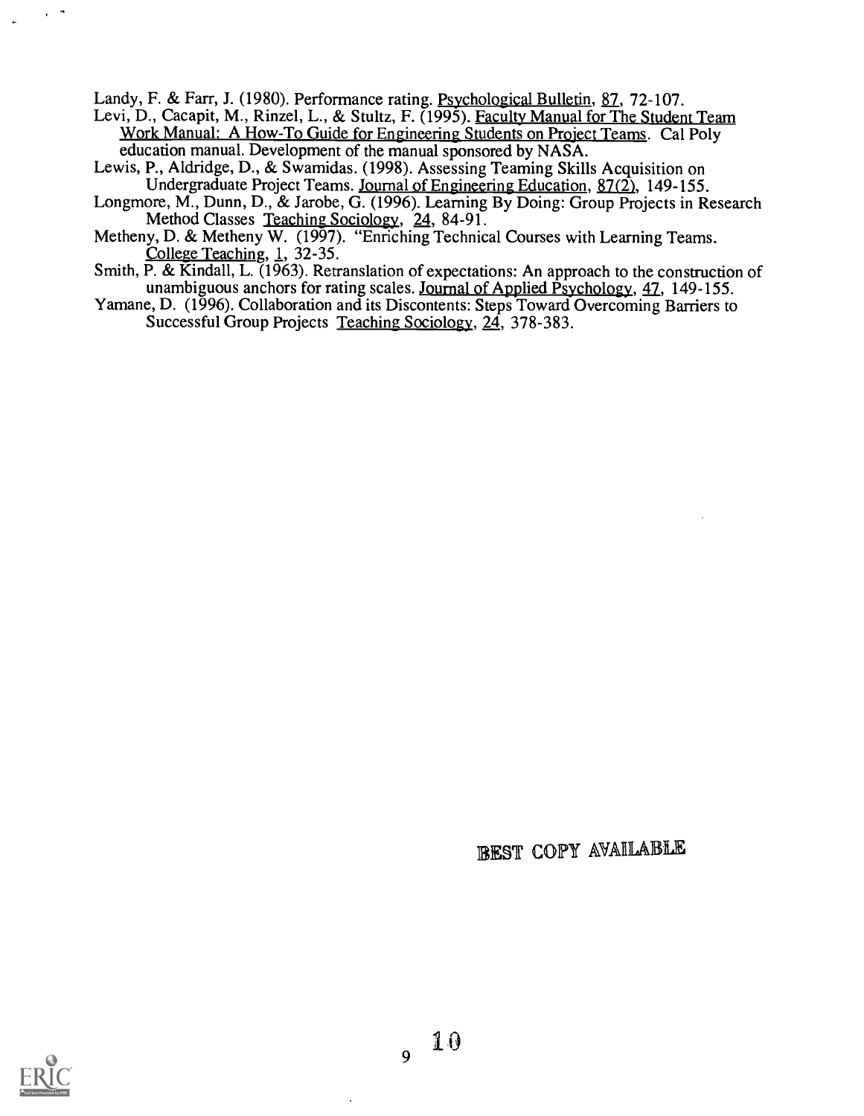Landy, F. & Farr, J. (1980). Performance rating. Psychological Bulletin, 87, 72-107.

- Levi, D., Cacapit, M., Rinzel, L., & Stultz, F. (1995). Faculty Manual for The Student Team Work Manual: A How-To Guide for Engineering Students on Project Teams. Cal Poly education manual. Development of the manual sponsored by NASA.
- Lewis, P., Aldridge, D., & Swamidas. (1998). Assessing Teaming Skills Acquisition on Undergraduate Project Teams. Journal of Engineering Education, 87(2), 149-155.
- Longmore, M., Dunn, D., & Jarobe, G. (1996). Learning By Doing: Group Projects in Research Method Classes Teaching Sociology, 24, 84-91.
- Metheny, D. & Metheny W. (1997). "Enriching Technical Courses with Learning Teams. College Teaching, 1, 32-35.
- Smith, P. & Kindall, L. (1963). Retranslation of expectations: An approach to the construction of unambiguous anchors for rating scales. Journal of Applied Psychology, 47, 149-155.
- Yamane, D. (1996). Collaboration and its Discontents: Steps Toward Overcoming Barriers to Successful Group Projects Teaching Sociology, 24, 378-383.

## BEST COPY AVAILABLE



 $\overline{Q}$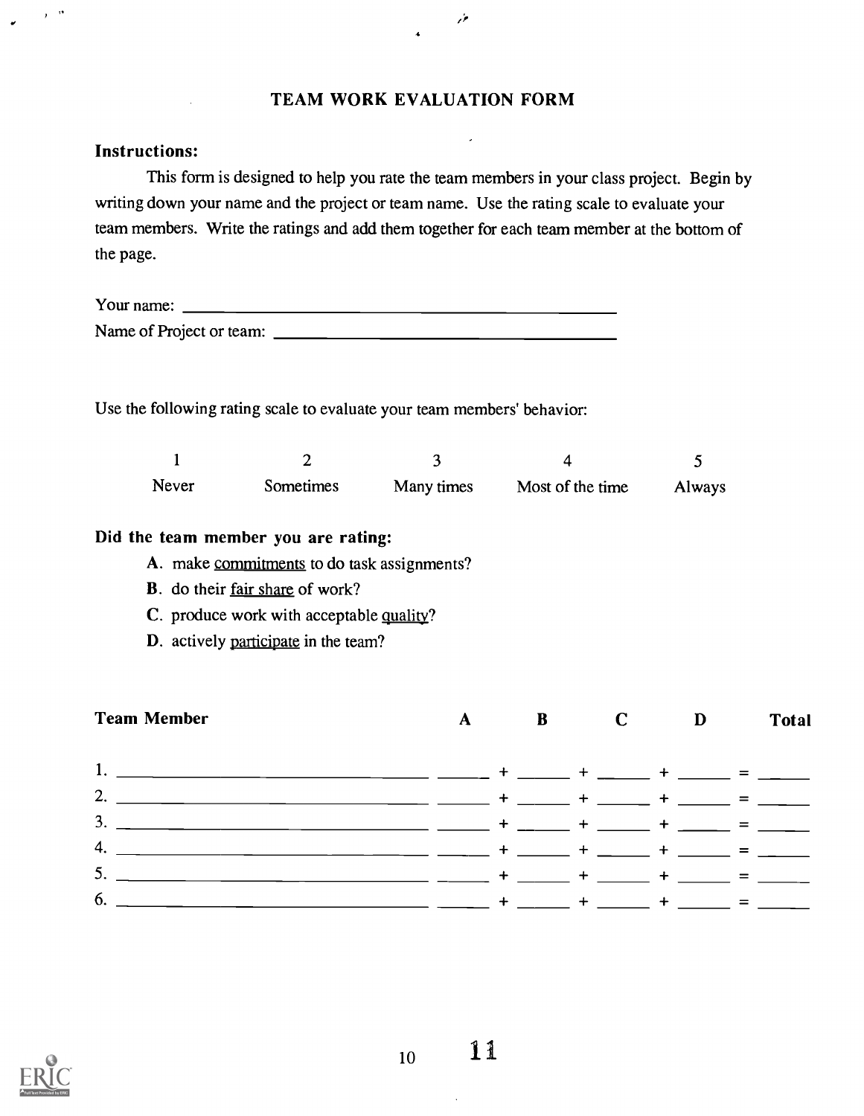## TEAM WORK EVALUATION FORM

منور

### Instructions:

 $\hat{\mathbf{y}}$  and

This form is designed to help you rate the team members in your class project. Begin by writing down your name and the project or team name. Use the rating scale to evaluate your team members. Write the ratings and add them together for each team member at the bottom of the page.

| Your name:               |  |  |  |
|--------------------------|--|--|--|
| Name of Project or team: |  |  |  |

Use the following rating scale to evaluate your team members' behavior:

| Never | <b>Sometimes</b> | Many times | Most of the time | <b>Always</b> |
|-------|------------------|------------|------------------|---------------|

## Did the team member you are rating:

- A. make commitments to do task assignments?
- B. do their fair share of work?
- C. produce work with acceptable quality?
- D. actively participate in the team?

| <b>Team Member</b>                               | A | B | $\bf C$ | $\mathbf{D}$ | <b>Total</b>                                |
|--------------------------------------------------|---|---|---------|--------------|---------------------------------------------|
|                                                  |   |   |         |              |                                             |
| _________ _____ + _____ + _____ + _____ = ____   |   |   |         |              |                                             |
| $\overline{2}$                                   |   |   |         |              | ___ ____ + ____ + ____ + ____ = ___         |
| 3.<br><u> Tanzania (</u> 1980)<br>Lingvis (1980) |   |   |         |              | ______ _____ + _____ + _____ + _____ = ____ |
| 4.                                               |   |   |         |              | $+$ _____ = __ __                           |
| 5.                                               |   |   |         |              | __ ___ + ___ + ___ + ___ + ___ = ___        |
| 6.                                               |   |   |         |              | ____ + ____ + ____ = ____                   |

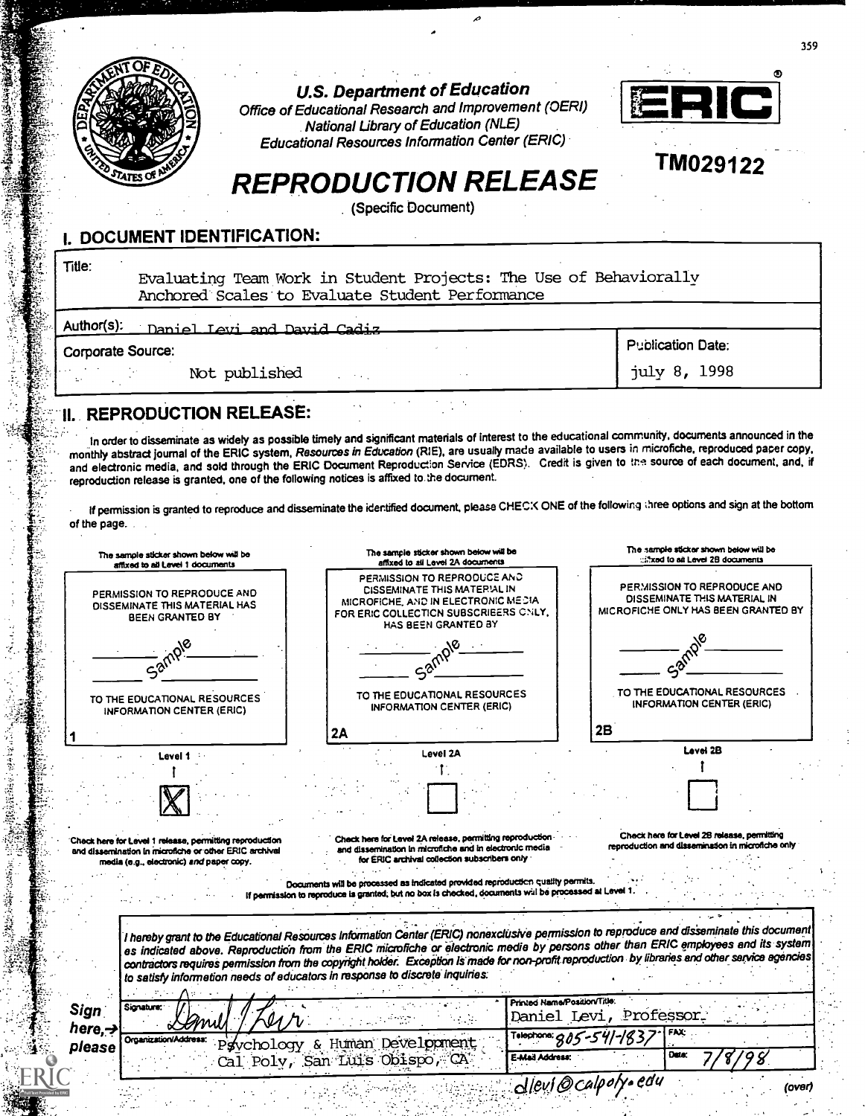

**U.S. Department of Education** 

Office of Educational Research and Improvement (OERI) National Library of Education (NLE) Educational Resources Information Center (ERIC)



TM029122

# REPRODUCTION RELEASE

(Specific Document)

## I. DOCUMENT IDENTIFICATION:

Title:

Evaluating Team Work in Student Projects: The Use of Behaviorally Anchored'Scales'to Evaluate Student Performance

| Author(s):<br>Daniel Levi and David Cadiz |                          |
|-------------------------------------------|--------------------------|
| Corporate Source:                         | <b>Publication Date:</b> |
| Not published<br>$\cdots$<br>$\mathbf{A}$ | july 8, 1998             |
|                                           |                          |

## II. REPRODUCTION RELEASE:

In order to disseminate as widely as possible timely and significant materials of interest to the educational community, documents announced in the monthty abstract journal of the ERIC system, Resources in Education (R1E), are usually made available to users in microfiche, reproduced paper copy, and electronic media, and sold through the ERIC Document Reproduction Service (EDRS). Credit is given to the source of each document, and, if reproduction release is granted, one of the following notices is affixed to the document.

If permission is granted to reproduce and disseminate the identified document, please CHECK ONE of the following three options and sign at the bottom of the page.

| The sample sticker shown below will be<br>affixed to all Level 1 documents                                        | The samcle sticker shown below will be<br>affixed to all Level 2A documents                                                                                                                                                                                                           | The sample sticker shown below will be<br>:::::xed to all Level 2B documents                       |
|-------------------------------------------------------------------------------------------------------------------|---------------------------------------------------------------------------------------------------------------------------------------------------------------------------------------------------------------------------------------------------------------------------------------|----------------------------------------------------------------------------------------------------|
| PERMISSION TO REPRODUCE AND<br>DISSEMINATE THIS MATERIAL HAS<br>BEEN GRANTED BY                                   | PERMISSION TO REPRODUCE AND<br><b>CISSEMINATE THIS MATERIAL IN</b><br>MICROFICHE, AND IN ELECTRONIC MEDIA<br>FOR ERIC COLLECTION SUBSCRIEERS CNLY,<br>HAS BEEN GRANTED BY                                                                                                             | PERMISSION TO REPRODUCE AND<br>DISSEMINATE THIS MATERIAL IN<br>MICROFICHE ONLY HAS BEEN GRANTED BY |
|                                                                                                                   |                                                                                                                                                                                                                                                                                       |                                                                                                    |
| TO THE EDUCATIONAL RESOURCES<br><b>INFORMATION CENTER (ERIC)</b>                                                  | TO THE EDUCATIONAL RESOURCES<br><b>INFORMATION CENTER (ERIC)</b>                                                                                                                                                                                                                      | TO THE EDUCATIONAL RESOURCES<br><b>INFORMATION CENTER (ERIC)</b>                                   |
|                                                                                                                   | 2Α                                                                                                                                                                                                                                                                                    | 2Β                                                                                                 |
| Level 1                                                                                                           | Level 2A                                                                                                                                                                                                                                                                              | Level 2B                                                                                           |
|                                                                                                                   |                                                                                                                                                                                                                                                                                       |                                                                                                    |
|                                                                                                                   |                                                                                                                                                                                                                                                                                       |                                                                                                    |
|                                                                                                                   |                                                                                                                                                                                                                                                                                       |                                                                                                    |
| Check here for Level 1 release, permitting reproduction<br>and dissemination in microfiche or other ERIC archival | Check here for Level 2A release, permitting reproduction<br>and dissemination in microfiche and in electronic media                                                                                                                                                                   | Check here for Level 28 release, permitting<br>reproduction and dissemination in microfiche only   |
| media (e.g., electronic) and paper copy.                                                                          | for ERIC archival collection subscribers only                                                                                                                                                                                                                                         |                                                                                                    |
|                                                                                                                   | Documents will be processed as indicated provided reproduction quality permits.                                                                                                                                                                                                       |                                                                                                    |
|                                                                                                                   | If permission to reproduce is granted, but no box is checked, documents will be processed at Level 1                                                                                                                                                                                  |                                                                                                    |
|                                                                                                                   |                                                                                                                                                                                                                                                                                       |                                                                                                    |
|                                                                                                                   | I hereby grant to the Educational Resources Information Center (ERIC) nonexclusive permission to reproduce and disseminate this document                                                                                                                                              |                                                                                                    |
|                                                                                                                   | es indicated above. Reproduction from the ERIC microfiche or electronic medie by persons other than ERIC employees and its system<br>contractors requires permission from the copyright holder. Exception is made for non-profit reproduction by libraries and other service egencies |                                                                                                    |
|                                                                                                                   | to satisfy information needs of educators in response to discrete inquiries:                                                                                                                                                                                                          |                                                                                                    |
|                                                                                                                   | Printed Name/Position/Title:                                                                                                                                                                                                                                                          |                                                                                                    |
| Signature:<br><b>Sign</b>                                                                                         |                                                                                                                                                                                                                                                                                       | Daniel Levi, Professor.                                                                            |
| here. $\rightarrow$<br>Organization/Address                                                                       |                                                                                                                                                                                                                                                                                       | FAX:<br>Telephone: 805-541-183                                                                     |
| please                                                                                                            | Paychology & Human Development<br>Cal Poly, San Luis Obispo, CA<br>E-Mail Address:                                                                                                                                                                                                    | Data:                                                                                              |
|                                                                                                                   | dlevi@calpoi                                                                                                                                                                                                                                                                          | (over)                                                                                             |